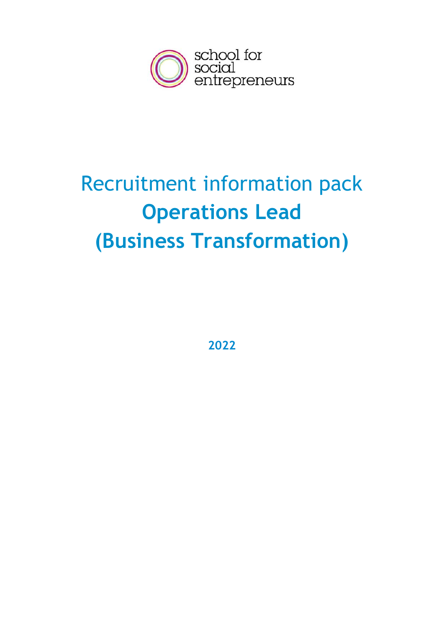

# Recruitment information pack **Operations Lead (Business Transformation)**

**2022**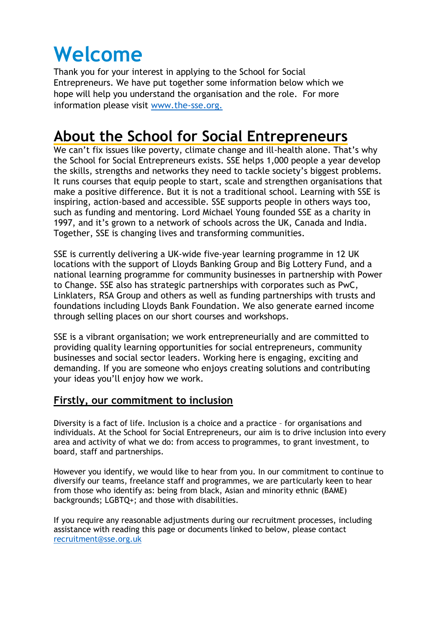## **Welcome**

Thank you for your interest in applying to the School for Social Entrepreneurs. We have put together some information below which we hope will help you understand the organisation and the role. For more information please visit [www.the-sse.org.](http://www.the-sse.org/)

## **About the School for Social Entrepreneurs**

We can't fix issues like poverty, climate change and ill-health alone. That's why the School for Social Entrepreneurs exists. SSE helps 1,000 people a year develop the skills, strengths and networks they need to tackle society's biggest problems. It runs courses that equip people to start, scale and strengthen organisations that make a positive difference. But it is not a traditional school. Learning with SSE is inspiring, action-based and accessible. SSE supports people in others ways too, such as funding and mentoring. Lord Michael Young founded SSE as a charity in 1997, and it's grown to a network of schools across the UK, Canada and India. Together, SSE is changing lives and transforming communities.

SSE is currently delivering a UK-wide five-year learning programme in 12 UK locations with the support of Lloyds Banking Group and Big Lottery Fund, and a national learning programme for community businesses in partnership with Power to Change. SSE also has strategic partnerships with corporates such as PwC, Linklaters, RSA Group and others as well as funding partnerships with trusts and foundations including Lloyds Bank Foundation. We also generate earned income through selling places on our short courses and workshops.

SSE is a vibrant organisation; we work entrepreneurially and are committed to providing quality learning opportunities for social entrepreneurs, community businesses and social sector leaders. Working here is engaging, exciting and demanding. If you are someone who enjoys creating solutions and contributing your ideas you'll enjoy how we work.

#### **Firstly, our commitment to inclusion**

Diversity is a fact of life. Inclusion is a choice and a practice – for organisations and individuals. At the School for Social Entrepreneurs, our aim is to drive inclusion into every area and activity of what we do: from access to programmes, to grant investment, to board, staff and partnerships.

However you identify, we would like to hear from you. In our commitment to continue to diversify our teams, freelance staff and programmes, we are particularly keen to hear from those who identify as: being from black, Asian and minority ethnic (BAME) backgrounds; LGBTQ+; and those with disabilities.

If you require any reasonable adjustments during our recruitment processes, including assistance with reading this page or documents linked to below, please contact [recruitment@sse.org.uk](mailto:recruitment@sse.org.uk)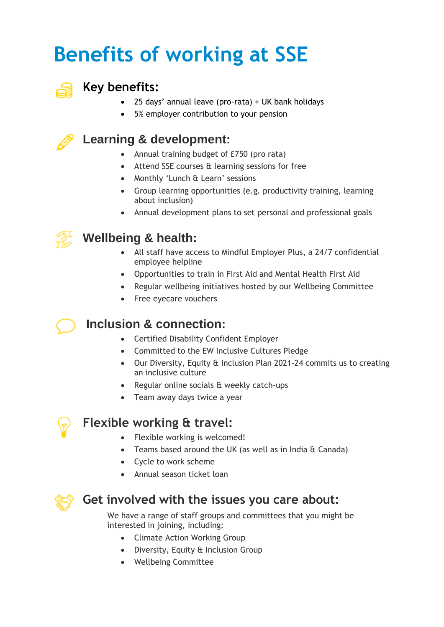## **Benefits of working at SSE**



#### **Key benefits:**

- 25 days' annual leave (pro-rata) + UK bank holidays
- 5% employer contribution to your pension

### **Learning & development:**

- Annual training budget of £750 (pro rata)
- Attend SSE courses & learning sessions for free
- Monthly 'Lunch & Learn' sessions
- Group learning opportunities (e.g. productivity training, learning about inclusion)
- Annual development plans to set personal and professional goals



### **Wellbeing & health:**

- All staff have access to Mindful Employer Plus, a 24/7 confidential employee helpline
- Opportunities to train in First Aid and Mental Health First Aid
- Regular wellbeing initiatives hosted by our Wellbeing Committee
- Free evecare vouchers

#### **Inclusion & connection:**

- Certified Disability Confident Employer
- Committed to the EW Inclusive Cultures Pledge
- Our Diversity, Equity & Inclusion Plan 2021-24 commits us to creating an inclusive culture
- Regular online socials & weekly catch-ups
- Team away days twice a year



#### **Flexible working & travel:**

- Flexible working is welcomed!
- Teams based around the UK (as well as in India & Canada)
- Cycle to work scheme
- Annual season ticket loan



#### **Get involved with the issues you care about:**

We have a range of staff groups and committees that you might be interested in joining, including:

- Climate Action Working Group
- Diversity, Equity & Inclusion Group
- Wellbeing Committee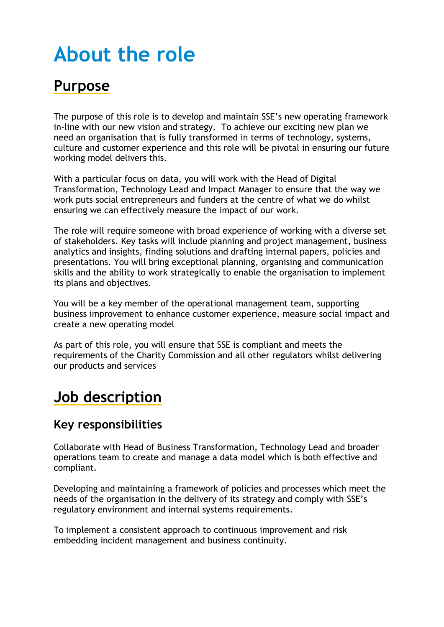## **About the role**

## **Purpose**

The purpose of this role is to develop and maintain SSE's new operating framework in-line with our new vision and strategy. To achieve our exciting new plan we need an organisation that is fully transformed in terms of technology, systems, culture and customer experience and this role will be pivotal in ensuring our future working model delivers this.

With a particular focus on data, you will work with the Head of Digital Transformation, Technology Lead and Impact Manager to ensure that the way we work puts social entrepreneurs and funders at the centre of what we do whilst ensuring we can effectively measure the impact of our work.

The role will require someone with broad experience of working with a diverse set of stakeholders. Key tasks will include planning and project management, business analytics and insights, finding solutions and drafting internal papers, policies and presentations. You will bring exceptional planning, organising and communication skills and the ability to work strategically to enable the organisation to implement its plans and objectives.

You will be a key member of the operational management team, supporting business improvement to enhance customer experience, measure social impact and create a new operating model

As part of this role, you will ensure that SSE is compliant and meets the requirements of the Charity Commission and all other regulators whilst delivering our products and services

## **Job description**

#### **Key responsibilities**

Collaborate with Head of Business Transformation, Technology Lead and broader operations team to create and manage a data model which is both effective and compliant.

Developing and maintaining a framework of policies and processes which meet the needs of the organisation in the delivery of its strategy and comply with SSE's regulatory environment and internal systems requirements.

To implement a consistent approach to continuous improvement and risk embedding incident management and business continuity.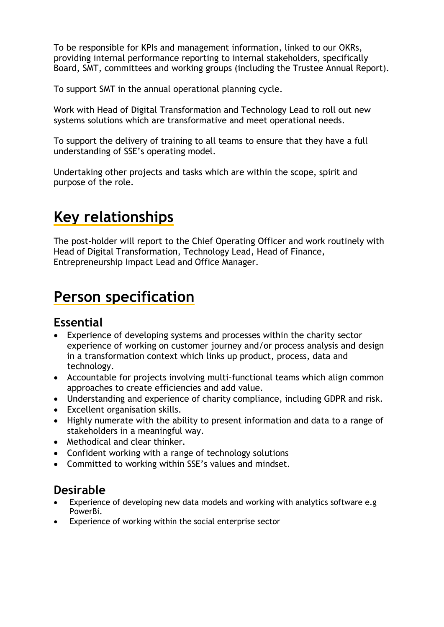To be responsible for KPIs and management information, linked to our OKRs, providing internal performance reporting to internal stakeholders, specifically Board, SMT, committees and working groups (including the Trustee Annual Report).

To support SMT in the annual operational planning cycle.

Work with Head of Digital Transformation and Technology Lead to roll out new systems solutions which are transformative and meet operational needs.

To support the delivery of training to all teams to ensure that they have a full understanding of SSE's operating model.

Undertaking other projects and tasks which are within the scope, spirit and purpose of the role.

## **Key relationships**

The post-holder will report to the Chief Operating Officer and work routinely with Head of Digital Transformation, Technology Lead, Head of Finance, Entrepreneurship Impact Lead and Office Manager.

## **Person specification**

#### **Essential**

- Experience of developing systems and processes within the charity sector experience of working on customer journey and/or process analysis and design in a transformation context which links up product, process, data and technology.
- Accountable for projects involving multi-functional teams which align common approaches to create efficiencies and add value.
- Understanding and experience of charity compliance, including GDPR and risk.
- Excellent organisation skills.
- Highly numerate with the ability to present information and data to a range of stakeholders in a meaningful way.
- Methodical and clear thinker.
- Confident working with a range of technology solutions
- Committed to working within SSE's values and mindset.

#### **Desirable**

- Experience of developing new data models and working with analytics software e.g PowerBi.
- Experience of working within the social enterprise sector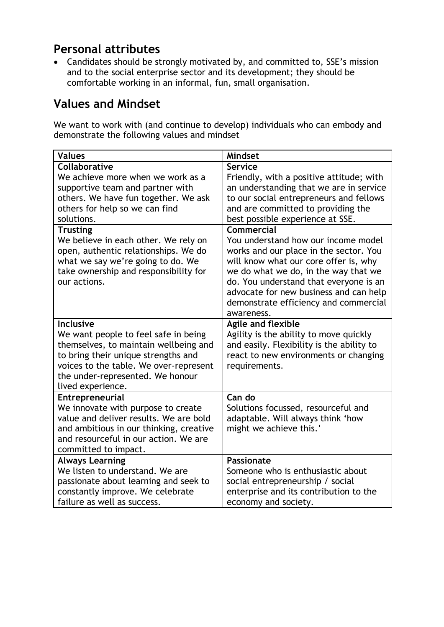#### **Personal attributes**

• Candidates should be strongly motivated by, and committed to, SSE's mission and to the social enterprise sector and its development; they should be comfortable working in an informal, fun, small organisation.

#### **Values and Mindset**

We want to work with (and continue to develop) individuals who can embody and demonstrate the following values and mindset

| <b>Values</b>                                                                                                                                                                                                                               | <b>Mindset</b>                                                                                                                                                                                                                                                                                                          |
|---------------------------------------------------------------------------------------------------------------------------------------------------------------------------------------------------------------------------------------------|-------------------------------------------------------------------------------------------------------------------------------------------------------------------------------------------------------------------------------------------------------------------------------------------------------------------------|
| Collaborative<br>We achieve more when we work as a<br>supportive team and partner with<br>others. We have fun together. We ask<br>others for help so we can find<br>solutions.                                                              | Service<br>Friendly, with a positive attitude; with<br>an understanding that we are in service<br>to our social entrepreneurs and fellows<br>and are committed to providing the<br>best possible experience at SSE.                                                                                                     |
| <b>Trusting</b><br>We believe in each other. We rely on<br>open, authentic relationships. We do<br>what we say we're going to do. We<br>take ownership and responsibility for<br>our actions.                                               | Commercial<br>You understand how our income model<br>works and our place in the sector. You<br>will know what our core offer is, why<br>we do what we do, in the way that we<br>do. You understand that everyone is an<br>advocate for new business and can help<br>demonstrate efficiency and commercial<br>awareness. |
| <b>Inclusive</b><br>We want people to feel safe in being<br>themselves, to maintain wellbeing and<br>to bring their unique strengths and<br>voices to the table. We over-represent<br>the under-represented. We honour<br>lived experience. | Agile and flexible<br>Agility is the ability to move quickly<br>and easily. Flexibility is the ability to<br>react to new environments or changing<br>requirements.                                                                                                                                                     |
| Entrepreneurial<br>We innovate with purpose to create<br>value and deliver results. We are bold<br>and ambitious in our thinking, creative<br>and resourceful in our action. We are<br>committed to impact.                                 | Can do<br>Solutions focussed, resourceful and<br>adaptable. Will always think 'how<br>might we achieve this.'                                                                                                                                                                                                           |
| <b>Always Learning</b><br>We listen to understand. We are<br>passionate about learning and seek to<br>constantly improve. We celebrate<br>failure as well as success.                                                                       | Passionate<br>Someone who is enthusiastic about<br>social entrepreneurship / social<br>enterprise and its contribution to the<br>economy and society.                                                                                                                                                                   |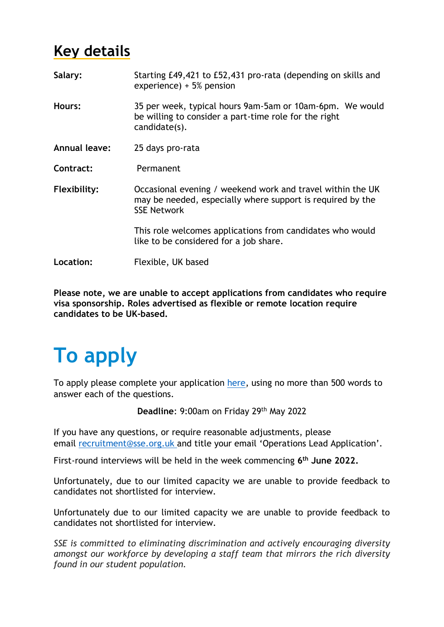## **Key details**

| Salary:       | Starting £49,421 to £52,431 pro-rata (depending on skills and<br>experience) $+5%$ pension                                                     |
|---------------|------------------------------------------------------------------------------------------------------------------------------------------------|
| Hours:        | 35 per week, typical hours 9am-5am or 10am-6pm. We would<br>be willing to consider a part-time role for the right<br>candidate(s).             |
| Annual leave: | 25 days pro-rata                                                                                                                               |
| Contract:     | Permanent                                                                                                                                      |
| Flexibility:  | Occasional evening / weekend work and travel within the UK<br>may be needed, especially where support is required by the<br><b>SSE Network</b> |
|               | This role welcomes applications from candidates who would<br>like to be considered for a job share.                                            |
| Location:     | Flexible, UK based                                                                                                                             |

**Please note, we are unable to accept applications from candidates who require visa sponsorship. Roles advertised as flexible or remote location require candidates to be UK-based.**

# **To apply**

To apply please complete your application [here,](https://ecv.microsoft.com/X4Yjs60Y7L) using no more than 500 words to answer each of the questions.

**Deadline**: 9:00am on Friday 29th May 2022

If you have any questions, or require reasonable adjustments, please email [recruitment@sse.org.uk](mailto:recruitment@sse.org.uk) and title your email 'Operations Lead Application'.

First-round interviews will be held in the week commencing **6 th June 2022.**

Unfortunately, due to our limited capacity we are unable to provide feedback to candidates not shortlisted for interview.

Unfortunately due to our limited capacity we are unable to provide feedback to candidates not shortlisted for interview.

*SSE is committed to eliminating discrimination and actively encouraging diversity amongst our workforce by developing a staff team that mirrors the rich diversity found in our student population.*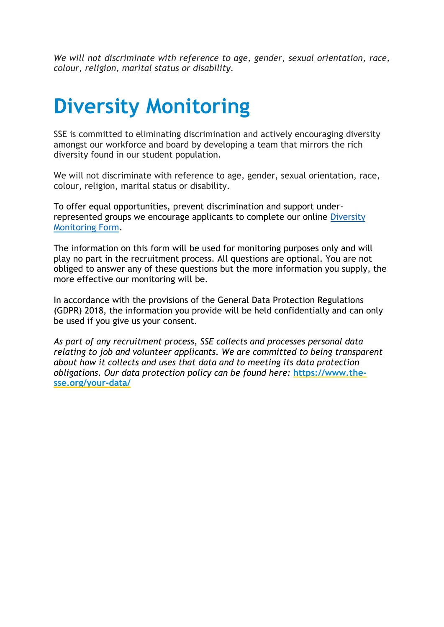*We will not discriminate with reference to age, gender, sexual orientation, race, colour, religion, marital status or disability.*

## **Diversity Monitoring**

SSE is committed to eliminating discrimination and actively encouraging diversity amongst our workforce and board by developing a team that mirrors the rich diversity found in our student population.

We will not discriminate with reference to age, gender, sexual orientation, race, colour, religion, marital status or disability.

To offer equal opportunities, prevent discrimination and support underrepresented groups we encourage applicants to complete our online [Diversity](https://ecv.microsoft.com/EpslyNJat1)  [Monitoring Form.](https://ecv.microsoft.com/EpslyNJat1)

The information on this form will be used for monitoring purposes only and will play no part in the recruitment process. All questions are optional. You are not obliged to answer any of these questions but the more information you supply, the more effective our monitoring will be.

In accordance with the provisions of the General Data Protection Regulations (GDPR) 2018, the information you provide will be held confidentially and can only be used if you give us your consent.

*As part of any recruitment process, SSE collects and processes personal data relating to job and volunteer applicants. We are committed to being transparent about how it collects and uses that data and to meeting its data protection obligations. Our data protection policy can be found here:* **[https://www.the](https://www.the-sse.org/your-data/)[sse.org/your-data/](https://www.the-sse.org/your-data/)**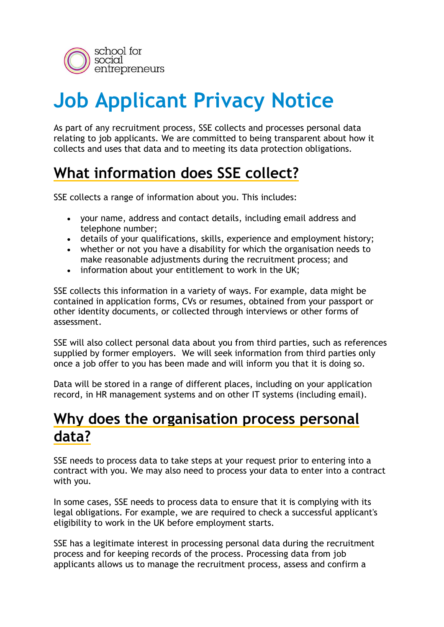

# **Job Applicant Privacy Notice**

As part of any recruitment process, SSE collects and processes personal data relating to job applicants. We are committed to being transparent about how it collects and uses that data and to meeting its data protection obligations.

## **What information does SSE collect?**

SSE collects a range of information about you. This includes:

- your name, address and contact details, including email address and telephone number;
- details of your qualifications, skills, experience and employment history;
- whether or not you have a disability for which the organisation needs to make reasonable adjustments during the recruitment process; and
- information about your entitlement to work in the UK;

SSE collects this information in a variety of ways. For example, data might be contained in application forms, CVs or resumes, obtained from your passport or other identity documents, or collected through interviews or other forms of assessment.

SSE will also collect personal data about you from third parties, such as references supplied by former employers. We will seek information from third parties only once a job offer to you has been made and will inform you that it is doing so.

Data will be stored in a range of different places, including on your application record, in HR management systems and on other IT systems (including email).

### **Why does the organisation process personal data?**

SSE needs to process data to take steps at your request prior to entering into a contract with you. We may also need to process your data to enter into a contract with you.

In some cases, SSE needs to process data to ensure that it is complying with its legal obligations. For example, we are required to check a successful applicant's eligibility to work in the UK before employment starts.

SSE has a legitimate interest in processing personal data during the recruitment process and for keeping records of the process. Processing data from job applicants allows us to manage the recruitment process, assess and confirm a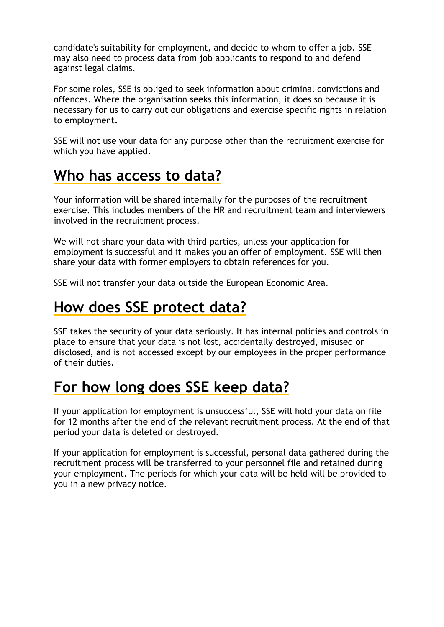candidate's suitability for employment, and decide to whom to offer a job. SSE may also need to process data from job applicants to respond to and defend against legal claims.

For some roles, SSE is obliged to seek information about criminal convictions and offences. Where the organisation seeks this information, it does so because it is necessary for us to carry out our obligations and exercise specific rights in relation to employment.

SSE will not use your data for any purpose other than the recruitment exercise for which you have applied.

## **Who has access to data?**

Your information will be shared internally for the purposes of the recruitment exercise. This includes members of the HR and recruitment team and interviewers involved in the recruitment process.

We will not share your data with third parties, unless your application for employment is successful and it makes you an offer of employment. SSE will then share your data with former employers to obtain references for you.

SSE will not transfer your data outside the European Economic Area.

### **How does SSE protect data?**

SSE takes the security of your data seriously. It has internal policies and controls in place to ensure that your data is not lost, accidentally destroyed, misused or disclosed, and is not accessed except by our employees in the proper performance of their duties.

## **For how long does SSE keep data?**

If your application for employment is unsuccessful, SSE will hold your data on file for 12 months after the end of the relevant recruitment process. At the end of that period your data is deleted or destroyed.

If your application for employment is successful, personal data gathered during the recruitment process will be transferred to your personnel file and retained during your employment. The periods for which your data will be held will be provided to you in a new privacy notice.